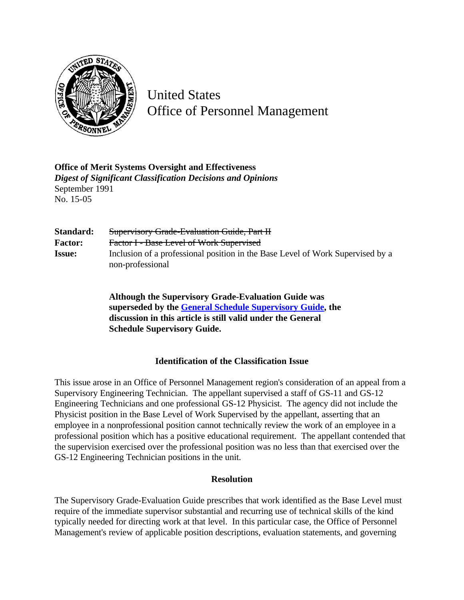

United States Office of Personnel Management

**Office of Merit Systems Oversight and Effectiveness** *Digest of Significant Classification Decisions and Opinions* September 1991 No. 15-05

| Standard:      | <b>Supervisory Grade-Evaluation Guide, Part H</b>                                                  |
|----------------|----------------------------------------------------------------------------------------------------|
| <b>Factor:</b> | Factor I - Base Level of Work Supervised                                                           |
| <b>Issue:</b>  | Inclusion of a professional position in the Base Level of Work Supervised by a<br>non-professional |

**Although the Supervisory Grade-Evaluation Guide was superseded by the [General Schedule Supervisory Guide, t](http://www.opm.gov/hr/fedclass/gssg.pdf)he discussion in this article is still valid under the General Schedule Supervisory Guide.**

## **Identification of the Classification Issue**

This issue arose in an Office of Personnel Management region's consideration of an appeal from a Supervisory Engineering Technician. The appellant supervised a staff of GS-11 and GS-12 Engineering Technicians and one professional GS-12 Physicist. The agency did not include the Physicist position in the Base Level of Work Supervised by the appellant, asserting that an employee in a nonprofessional position cannot technically review the work of an employee in a professional position which has a positive educational requirement. The appellant contended that the supervision exercised over the professional position was no less than that exercised over the GS-12 Engineering Technician positions in the unit.

## **Resolution**

The Supervisory Grade-Evaluation Guide prescribes that work identified as the Base Level must require of the immediate supervisor substantial and recurring use of technical skills of the kind typically needed for directing work at that level. In this particular case, the Office of Personnel Management's review of applicable position descriptions, evaluation statements, and governing